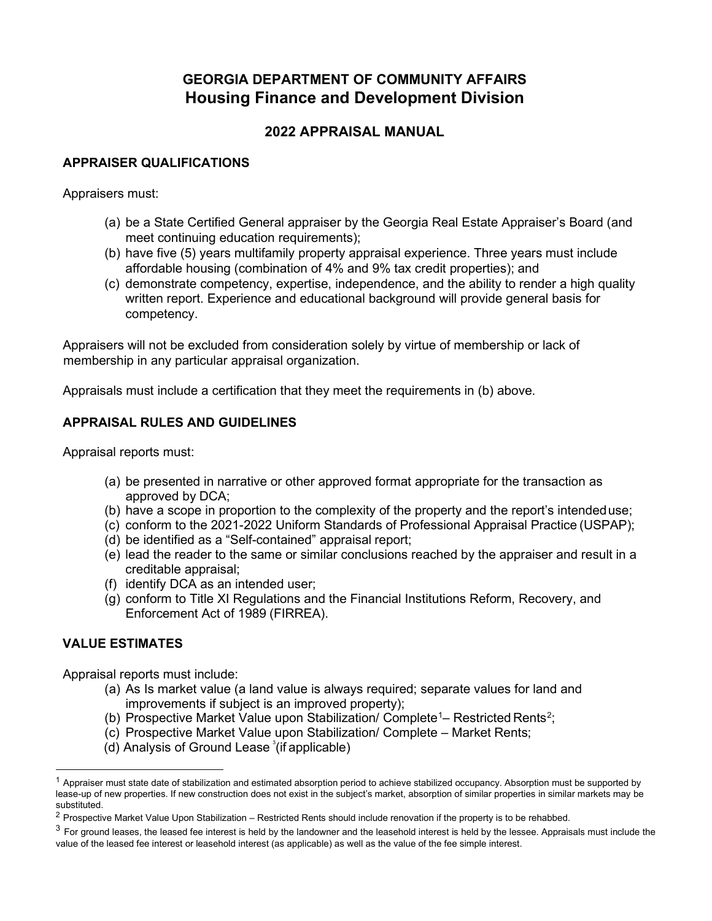# **GEORGIA DEPARTMENT OF COMMUNITY AFFAIRS Housing Finance and Development Division**

## **2022 APPRAISAL MANUAL**

## **APPRAISER QUALIFICATIONS**

Appraisers must:

- (a) be a State Certified General appraiser by the Georgia Real Estate Appraiser's Board (and meet continuing education requirements);
- (b) have five (5) years multifamily property appraisal experience. Three years must include affordable housing (combination of 4% and 9% tax credit properties); and
- (c) demonstrate competency, expertise, independence, and the ability to render a high quality written report. Experience and educational background will provide general basis for competency.

Appraisers will not be excluded from consideration solely by virtue of membership or lack of membership in any particular appraisal organization.

Appraisals must include a certification that they meet the requirements in (b) above.

## **APPRAISAL RULES AND GUIDELINES**

Appraisal reports must:

- (a) be presented in narrative or other approved format appropriate for the transaction as approved by DCA;
- (b) have a scope in proportion to the complexity of the property and the report's intendeduse;
- (c) conform to the 2021-2022 Uniform Standards of Professional Appraisal Practice (USPAP);
- (d) be identified as a "Self-contained" appraisal report;
- (e) lead the reader to the same or similar conclusions reached by the appraiser and result in a creditable appraisal;
- (f) identify DCA as an intended user;
- (g) conform to Title XI Regulations and the Financial Institutions Reform, Recovery, and Enforcement Act of 1989 (FIRREA).

## **VALUE ESTIMATES**

Appraisal reports must include:

- (a) As Is market value (a land value is always required; separate values for land and improvements if subject is an improved property);
- (b) Prospective Market Value upon Stabilization/ Complete<sup>[1](#page-0-0)</sup>– Restricted Rents<sup>[2](#page-0-1)</sup>;
- (c) Prospective Market Value upon Stabilization/ Complete Market Rents;
- $(d)$  Analysis of Ground Lease  $\sqrt[3]{t}$  $\sqrt[3]{t}$  $\sqrt[3]{t}$  (if applicable)

<span id="page-0-0"></span> $^1$  Appraiser must state date of stabilization and estimated absorption period to achieve stabilized occupancy. Absorption must be supported by lease-up of new properties. If new construction does not exist in the subject's market, absorption of similar properties in similar markets may be substituted.

<span id="page-0-1"></span> $2$  Prospective Market Value Upon Stabilization – Restricted Rents should include renovation if the property is to be rehabbed.

<span id="page-0-2"></span> $3$  For ground leases, the leased fee interest is held by the landowner and the leasehold interest is held by the lessee. Appraisals must include the value of the leased fee interest or leasehold interest (as applicable) as well as the value of the fee simple interest.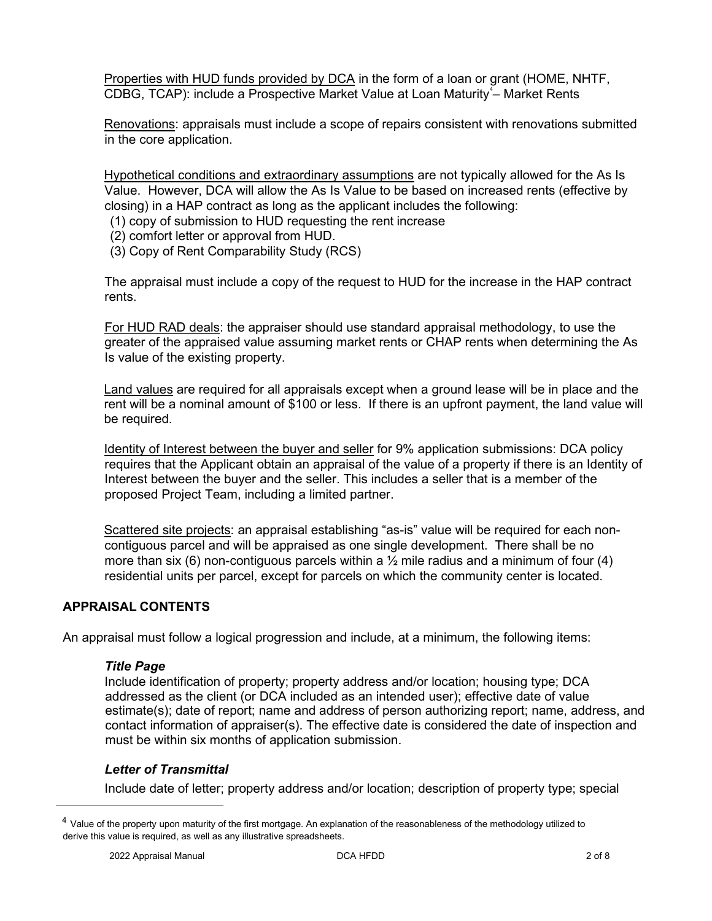Properties with HUD funds provided by DCA in the form of a loan or grant (HOME, NHTF, CDBG, TCAP): include a Prospective Market Value at Loan Maturity<sup>[4](#page-1-0)</sup>- Market Rents

Renovations: appraisals must include a scope of repairs consistent with renovations submitted in the core application.

Hypothetical conditions and extraordinary assumptions are not typically allowed for the As Is Value. However, DCA will allow the As Is Value to be based on increased rents (effective by closing) in a HAP contract as long as the applicant includes the following:

- (1) copy of submission to HUD requesting the rent increase
- (2) comfort letter or approval from HUD.
- (3) Copy of Rent Comparability Study (RCS)

The appraisal must include a copy of the request to HUD for the increase in the HAP contract rents.

For HUD RAD deals: the appraiser should use standard appraisal methodology, to use the greater of the appraised value assuming market rents or CHAP rents when determining the As Is value of the existing property.

Land values are required for all appraisals except when a ground lease will be in place and the rent will be a nominal amount of \$100 or less. If there is an upfront payment, the land value will be required.

Identity of Interest between the buyer and seller for 9% application submissions: DCA policy requires that the Applicant obtain an appraisal of the value of a property if there is an Identity of Interest between the buyer and the seller. This includes a seller that is a member of the proposed Project Team, including a limited partner.

Scattered site projects: an appraisal establishing "as-is" value will be required for each noncontiguous parcel and will be appraised as one single development. There shall be no more than six (6) non-contiguous parcels within a  $\frac{1}{2}$  mile radius and a minimum of four (4) residential units per parcel, except for parcels on which the community center is located.

## **APPRAISAL CONTENTS**

An appraisal must follow a logical progression and include, at a minimum, the following items:

## *Title Page*

Include identification of property; property address and/or location; housing type; DCA addressed as the client (or DCA included as an intended user); effective date of value estimate(s); date of report; name and address of person authorizing report; name, address, and contact information of appraiser(s). The effective date is considered the date of inspection and must be within six months of application submission.

## *Letter of Transmittal*

Include date of letter; property address and/or location; description of property type; special

<span id="page-1-0"></span><sup>&</sup>lt;sup>4</sup> Value of the property upon maturity of the first mortgage. An explanation of the reasonableness of the methodology utilized to derive this value is required, as well as any illustrative spreadsheets.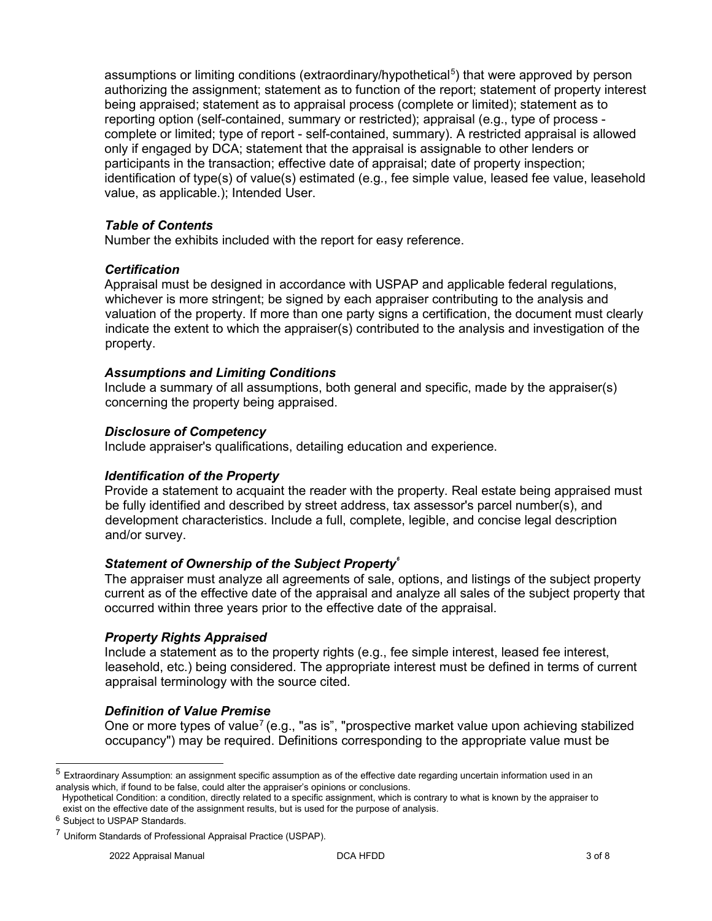assumptions or limiting conditions (extraordinary/hypothetical<sup>[5](#page-2-0)</sup>) that were approved by person authorizing the assignment; statement as to function of the report; statement of property interest being appraised; statement as to appraisal process (complete or limited); statement as to reporting option (self-contained, summary or restricted); appraisal (e.g., type of process complete or limited; type of report - self-contained, summary). A restricted appraisal is allowed only if engaged by DCA; statement that the appraisal is assignable to other lenders or participants in the transaction; effective date of appraisal; date of property inspection; identification of type(s) of value(s) estimated (e.g., fee simple value, leased fee value, leasehold value, as applicable.); Intended User.

## *Table of Contents*

Number the exhibits included with the report for easy reference.

## *Certification*

Appraisal must be designed in accordance with USPAP and applicable federal regulations, whichever is more stringent; be signed by each appraiser contributing to the analysis and valuation of the property. If more than one party signs a certification, the document must clearly indicate the extent to which the appraiser(s) contributed to the analysis and investigation of the property.

## *Assumptions and Limiting Conditions*

Include a summary of all assumptions, both general and specific, made by the appraiser(s) concerning the property being appraised.

## *Disclosure of Competency*

Include appraiser's qualifications, detailing education and experience.

#### *Identification of the Property*

Provide a statement to acquaint the reader with the property. Real estate being appraised must be fully identified and described by street address, tax assessor's parcel number(s), and development characteristics. Include a full, complete, legible, and concise legal description and/or survey.

## *Statement of Ownership of the Subject Property[6](#page-2-1)*

The appraiser must analyze all agreements of sale, options, and listings of the subject property current as of the effective date of the appraisal and analyze all sales of the subject property that occurred within three years prior to the effective date of the appraisal.

#### *Property Rights Appraised*

Include a statement as to the property rights (e.g., fee simple interest, leased fee interest, leasehold, etc.) being considered. The appropriate interest must be defined in terms of current appraisal terminology with the source cited.

## *Definition of Value Premise*

One or more types of value<sup>[7](#page-2-2)</sup> (e.g., "as is", "prospective market value upon achieving stabilized occupancy") may be required. Definitions corresponding to the appropriate value must be

<span id="page-2-0"></span> $5$  Extraordinary Assumption: an assignment specific assumption as of the effective date regarding uncertain information used in an analysis which, if found to be false, could alter the appraiser's opinions or conclusions.

Hypothetical Condition: a condition, directly related to a specific assignment, which is contrary to what is known by the appraiser to exist on the effective date of the assignment results, but is used for the purpose of analysis.

<span id="page-2-1"></span><sup>6</sup> Subject to USPAP Standards.

<span id="page-2-2"></span><sup>7</sup> Uniform Standards of Professional Appraisal Practice (USPAP).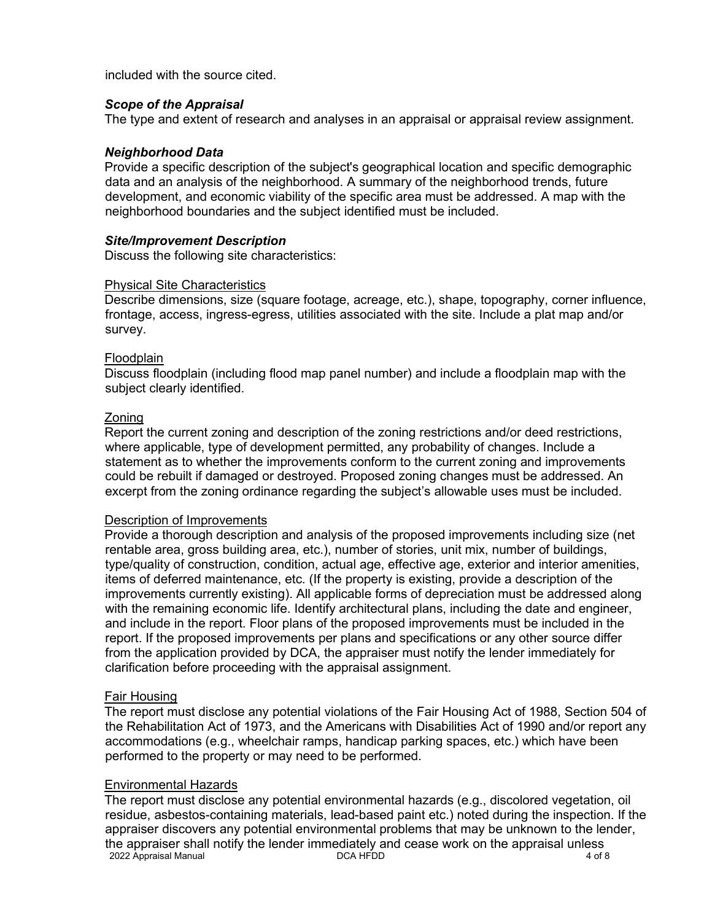included with the source cited.

#### *Scope of the Appraisal*

The type and extent of research and analyses in an appraisal or appraisal review assignment.

## *Neighborhood Data*

Provide a specific description of the subject's geographical location and specific demographic data and an analysis of the neighborhood. A summary of the neighborhood trends, future development, and economic viability of the specific area must be addressed. A map with the neighborhood boundaries and the subject identified must be included.

## *Site/Improvement Description*

Discuss the following site characteristics:

## Physical Site Characteristics

Describe dimensions, size (square footage, acreage, etc.), shape, topography, corner influence, frontage, access, ingress-egress, utilities associated with the site. Include a plat map and/or survey.

#### **Floodplain**

Discuss floodplain (including flood map panel number) and include a floodplain map with the subject clearly identified.

## Zoning

Report the current zoning and description of the zoning restrictions and/or deed restrictions, where applicable, type of development permitted, any probability of changes. Include a statement as to whether the improvements conform to the current zoning and improvements could be rebuilt if damaged or destroyed. Proposed zoning changes must be addressed. An excerpt from the zoning ordinance regarding the subject's allowable uses must be included.

#### Description of Improvements

Provide a thorough description and analysis of the proposed improvements including size (net rentable area, gross building area, etc.), number of stories, unit mix, number of buildings, type/quality of construction, condition, actual age, effective age, exterior and interior amenities, items of deferred maintenance, etc. (If the property is existing, provide a description of the improvements currently existing). All applicable forms of depreciation must be addressed along with the remaining economic life. Identify architectural plans, including the date and engineer, and include in the report. Floor plans of the proposed improvements must be included in the report. If the proposed improvements per plans and specifications or any other source differ from the application provided by DCA, the appraiser must notify the lender immediately for clarification before proceeding with the appraisal assignment.

#### Fair Housing

The report must disclose any potential violations of the Fair Housing Act of 1988, Section 504 of the Rehabilitation Act of 1973, and the Americans with Disabilities Act of 1990 and/or report any accommodations (e.g., wheelchair ramps, handicap parking spaces, etc.) which have been performed to the property or may need to be performed.

#### Environmental Hazards

2022 Appraisal Manual 2002 Appraisal Manual 2002 Appraisal Manual 2002 Appraisal Manual 2008 The report must disclose any potential environmental hazards (e.g., discolored vegetation, oil residue, asbestos-containing materials, lead-based paint etc.) noted during the inspection. If the appraiser discovers any potential environmental problems that may be unknown to the lender, the appraiser shall notify the lender immediately and cease work on the appraisal unless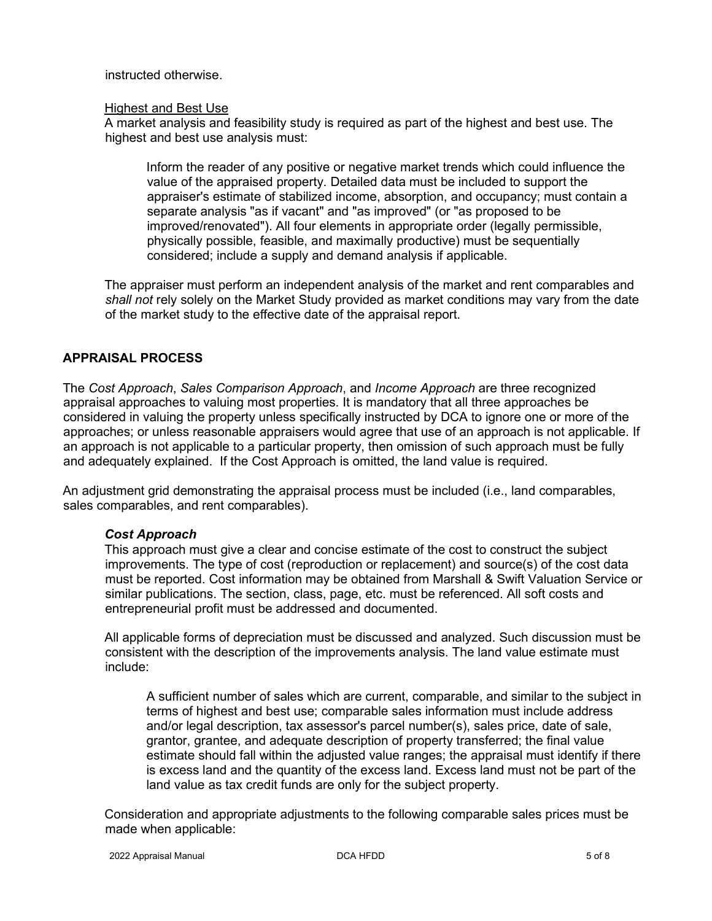instructed otherwise.

#### Highest and Best Use

A market analysis and feasibility study is required as part of the highest and best use. The highest and best use analysis must:

Inform the reader of any positive or negative market trends which could influence the value of the appraised property. Detailed data must be included to support the appraiser's estimate of stabilized income, absorption, and occupancy; must contain a separate analysis "as if vacant" and "as improved" (or "as proposed to be improved/renovated"). All four elements in appropriate order (legally permissible, physically possible, feasible, and maximally productive) must be sequentially considered; include a supply and demand analysis if applicable.

The appraiser must perform an independent analysis of the market and rent comparables and *shall not* rely solely on the Market Study provided as market conditions may vary from the date of the market study to the effective date of the appraisal report.

## **APPRAISAL PROCESS**

The *Cost Approach*, *Sales Comparison Approach*, and *Income Approach* are three recognized appraisal approaches to valuing most properties. It is mandatory that all three approaches be considered in valuing the property unless specifically instructed by DCA to ignore one or more of the approaches; or unless reasonable appraisers would agree that use of an approach is not applicable. If an approach is not applicable to a particular property, then omission of such approach must be fully and adequately explained. If the Cost Approach is omitted, the land value is required.

An adjustment grid demonstrating the appraisal process must be included (i.e., land comparables, sales comparables, and rent comparables).

## *Cost Approach*

This approach must give a clear and concise estimate of the cost to construct the subject improvements. The type of cost (reproduction or replacement) and source(s) of the cost data must be reported. Cost information may be obtained from Marshall & Swift Valuation Service or similar publications. The section, class, page, etc. must be referenced. All soft costs and entrepreneurial profit must be addressed and documented.

All applicable forms of depreciation must be discussed and analyzed. Such discussion must be consistent with the description of the improvements analysis. The land value estimate must include:

A sufficient number of sales which are current, comparable, and similar to the subject in terms of highest and best use; comparable sales information must include address and/or legal description, tax assessor's parcel number(s), sales price, date of sale, grantor, grantee, and adequate description of property transferred; the final value estimate should fall within the adjusted value ranges; the appraisal must identify if there is excess land and the quantity of the excess land. Excess land must not be part of the land value as tax credit funds are only for the subject property.

Consideration and appropriate adjustments to the following comparable sales prices must be made when applicable: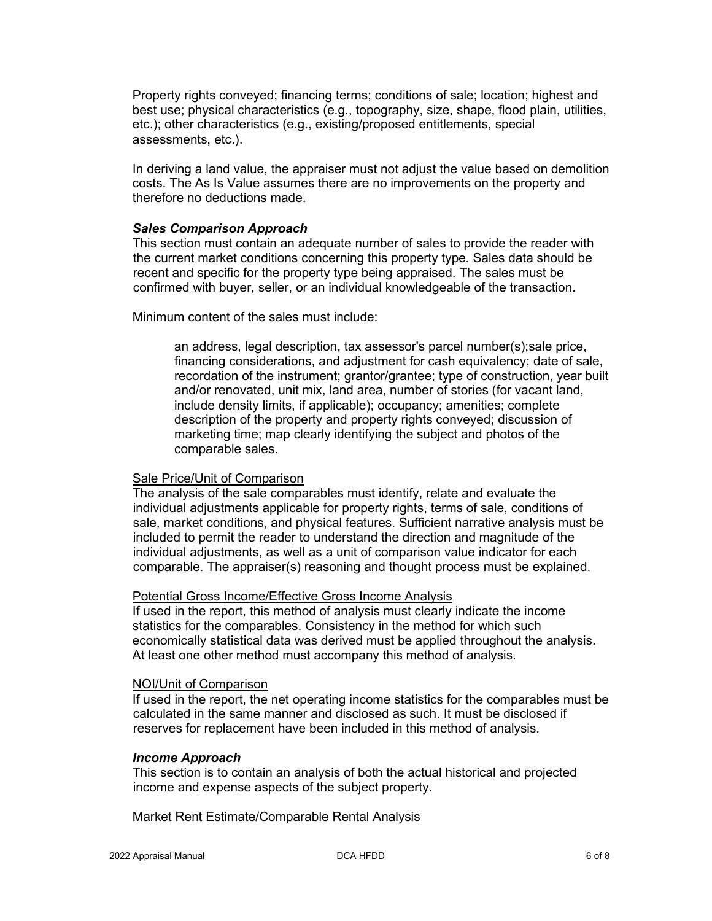Property rights conveyed; financing terms; conditions of sale; location; highest and best use; physical characteristics (e.g., topography, size, shape, flood plain, utilities, etc.); other characteristics (e.g., existing/proposed entitlements, special assessments, etc.).

In deriving a land value, the appraiser must not adjust the value based on demolition costs. The As Is Value assumes there are no improvements on the property and therefore no deductions made.

#### *Sales Comparison Approach*

This section must contain an adequate number of sales to provide the reader with the current market conditions concerning this property type. Sales data should be recent and specific for the property type being appraised. The sales must be confirmed with buyer, seller, or an individual knowledgeable of the transaction.

Minimum content of the sales must include:

an address, legal description, tax assessor's parcel number(s);sale price, financing considerations, and adjustment for cash equivalency; date of sale, recordation of the instrument; grantor/grantee; type of construction, year built and/or renovated, unit mix, land area, number of stories (for vacant land, include density limits, if applicable); occupancy; amenities; complete description of the property and property rights conveyed; discussion of marketing time; map clearly identifying the subject and photos of the comparable sales.

#### Sale Price/Unit of Comparison

The analysis of the sale comparables must identify, relate and evaluate the individual adjustments applicable for property rights, terms of sale, conditions of sale, market conditions, and physical features. Sufficient narrative analysis must be included to permit the reader to understand the direction and magnitude of the individual adjustments, as well as a unit of comparison value indicator for each comparable. The appraiser(s) reasoning and thought process must be explained.

#### Potential Gross Income/Effective Gross Income Analysis

If used in the report, this method of analysis must clearly indicate the income statistics for the comparables. Consistency in the method for which such economically statistical data was derived must be applied throughout the analysis. At least one other method must accompany this method of analysis.

#### NOI/Unit of Comparison

If used in the report, the net operating income statistics for the comparables must be calculated in the same manner and disclosed as such. It must be disclosed if reserves for replacement have been included in this method of analysis.

#### *Income Approach*

This section is to contain an analysis of both the actual historical and projected income and expense aspects of the subject property.

#### Market Rent Estimate/Comparable Rental Analysis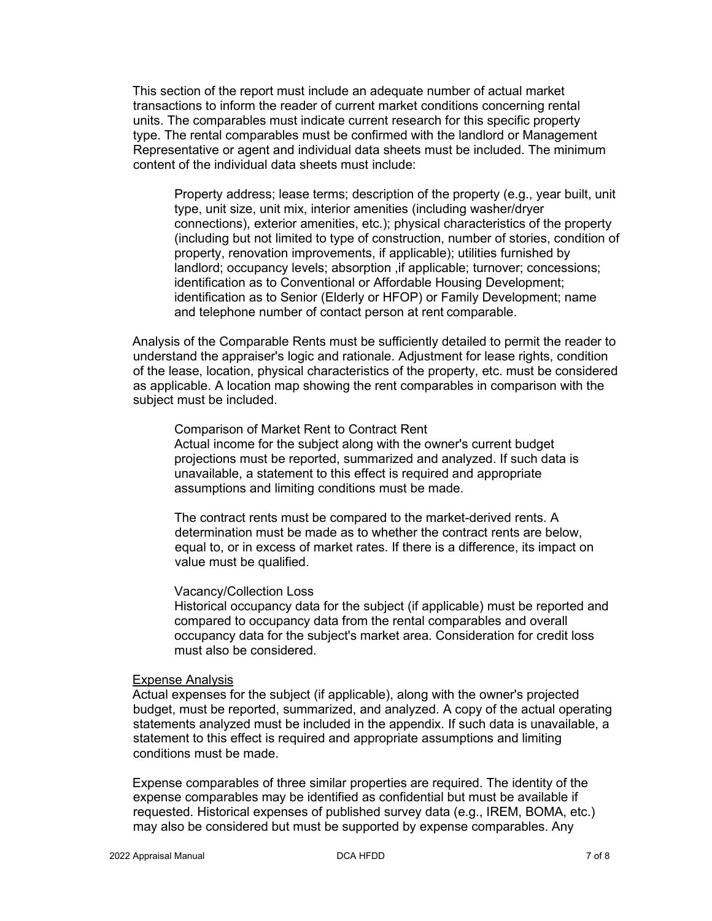This section of the report must include an adequate number of actual market transactions to inform the reader of current market conditions concerning rental units. The comparables must indicate current research for this specific property type. The rental comparables must be confirmed with the landlord or Management Representative or agent and individual data sheets must be included. The minimum content of the individual data sheets must include:

Property address; lease terms; description of the property (e.g., year built, unit type, unit size, unit mix, interior amenities (including washer/dryer connections), exterior amenities, etc.); physical characteristics of the property (including but not limited to type of construction, number of stories, condition of property, renovation improvements, if applicable); utilities furnished by landlord; occupancy levels; absorption , if applicable; turnover; concessions; identification as to Conventional or Affordable Housing Development; identification as to Senior (Elderly or HFOP) or Family Development; name and telephone number of contact person at rent comparable.

Analysis of the Comparable Rents must be sufficiently detailed to permit the reader to understand the appraiser's logic and rationale. Adjustment for lease rights, condition of the lease, location, physical characteristics of the property, etc. must be considered as applicable. A location map showing the rent comparables in comparison with the subject must be included.

#### Comparison of Market Rent to Contract Rent

Actual income for the subject along with the owner's current budget projections must be reported, summarized and analyzed. If such data is unavailable, a statement to this effect is required and appropriate assumptions and limiting conditions must be made.

The contract rents must be compared to the market-derived rents. A determination must be made as to whether the contract rents are below, equal to, or in excess of market rates. If there is a difference, its impact on value must be qualified.

#### Vacancy/Collection Loss

Historical occupancy data for the subject (if applicable) must be reported and compared to occupancy data from the rental comparables and overall occupancy data for the subject's market area. Consideration for credit loss must also be considered.

#### Expense Analysis

Actual expenses for the subject (if applicable), along with the owner's projected budget, must be reported, summarized, and analyzed. A copy of the actual operating statements analyzed must be included in the appendix. If such data is unavailable, a statement to this effect is required and appropriate assumptions and limiting conditions must be made.

Expense comparables of three similar properties are required. The identity of the expense comparables may be identified as confidential but must be available if requested. Historical expenses of published survey data (e.g., IREM, BOMA, etc.) may also be considered but must be supported by expense comparables. Any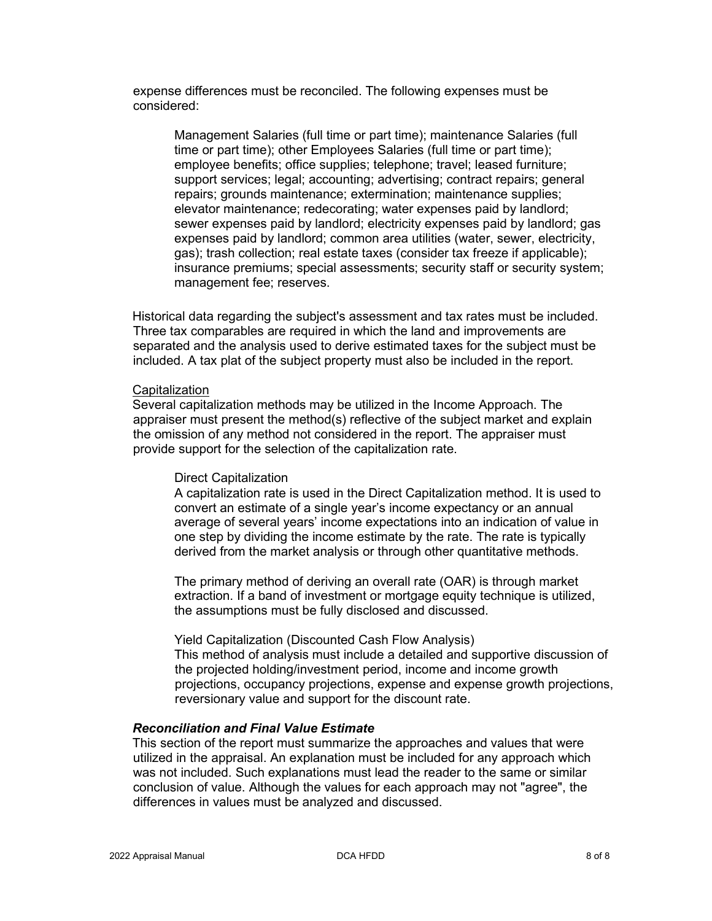expense differences must be reconciled. The following expenses must be considered:

Management Salaries (full time or part time); maintenance Salaries (full time or part time); other Employees Salaries (full time or part time); employee benefits; office supplies; telephone; travel; leased furniture; support services; legal; accounting; advertising; contract repairs; general repairs; grounds maintenance; extermination; maintenance supplies; elevator maintenance; redecorating; water expenses paid by landlord; sewer expenses paid by landlord; electricity expenses paid by landlord; gas expenses paid by landlord; common area utilities (water, sewer, electricity, gas); trash collection; real estate taxes (consider tax freeze if applicable); insurance premiums; special assessments; security staff or security system; management fee; reserves.

Historical data regarding the subject's assessment and tax rates must be included. Three tax comparables are required in which the land and improvements are separated and the analysis used to derive estimated taxes for the subject must be included. A tax plat of the subject property must also be included in the report.

#### **Capitalization**

Several capitalization methods may be utilized in the Income Approach. The appraiser must present the method(s) reflective of the subject market and explain the omission of any method not considered in the report. The appraiser must provide support for the selection of the capitalization rate.

#### Direct Capitalization

A capitalization rate is used in the Direct Capitalization method. It is used to convert an estimate of a single year's income expectancy or an annual average of several years' income expectations into an indication of value in one step by dividing the income estimate by the rate. The rate is typically derived from the market analysis or through other quantitative methods.

The primary method of deriving an overall rate (OAR) is through market extraction. If a band of investment or mortgage equity technique is utilized, the assumptions must be fully disclosed and discussed.

Yield Capitalization (Discounted Cash Flow Analysis) This method of analysis must include a detailed and supportive discussion of the projected holding/investment period, income and income growth projections, occupancy projections, expense and expense growth projections, reversionary value and support for the discount rate.

#### *Reconciliation and Final Value Estimate*

This section of the report must summarize the approaches and values that were utilized in the appraisal. An explanation must be included for any approach which was not included. Such explanations must lead the reader to the same or similar conclusion of value. Although the values for each approach may not "agree", the differences in values must be analyzed and discussed.